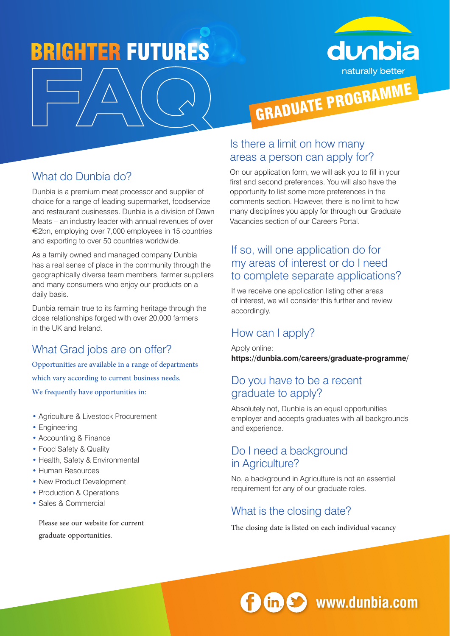# **BRIGHTER FUTURES**



# What do Dunbia do?

Dunbia is a premium meat processor and supplier of choice for a range of leading supermarket, foodservice and restaurant businesses. Dunbia is a division of Dawn Meats – an industry leader with annual revenues of over €2bn, employing over 7,000 employees in 15 countries and exporting to over 50 countries worldwide.

As a family owned and managed company Dunbia has a real sense of place in the community through the geographically diverse team members, farmer suppliers and many consumers who enjoy our products on a daily basis.

Dunbia remain true to its farming heritage through the close relationships forged with over 20,000 farmers in the UK and Ireland.

# What Grad jobs are on offer?

Opportunities are available in a range of departments which vary according to current business needs. We frequently have opportunities in:

- Agriculture & Livestock Procurement
- Engineering
- Accounting & Finance
- Food Safety & Quality
- Health, Safety & Environmental
- Human Resources
- New Product Development
- Production & Operations
- Sales & Commercial

Please see our website for current graduate opportunities.

### Is there a limit on how many areas a person can apply for?

On our application form, we will ask you to fill in your first and second preferences. You will also have the opportunity to list some more preferences in the comments section. However, there is no limit to how many disciplines you apply for through our Graduate Vacancies section of our Careers Portal.

# If so, will one application do for my areas of interest or do I need to complete separate applications?

If we receive one application listing other areas of interest, we will consider this further and review accordingly.

# How can I apply?

Apply online: **https://dunbia.com/careers/graduate-programme/**

#### Do you have to be a recent graduate to apply?

Absolutely not, Dunbia is an equal opportunities employer and accepts graduates with all backgrounds and experience.

#### Do I need a background in Agriculture?

No, a background in Agriculture is not an essential requirement for any of our graduate roles.

# What is the closing date?

The closing date is listed on each individual vacancy